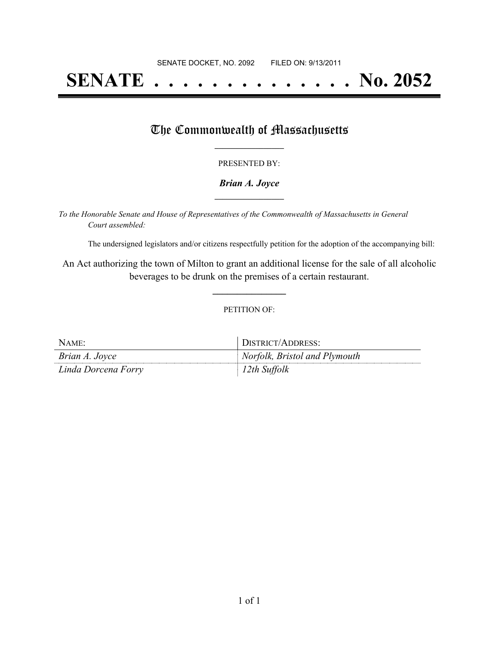# **SENATE . . . . . . . . . . . . . . No. 2052**

### The Commonwealth of Massachusetts

#### PRESENTED BY:

#### *Brian A. Joyce* **\_\_\_\_\_\_\_\_\_\_\_\_\_\_\_\_\_**

*To the Honorable Senate and House of Representatives of the Commonwealth of Massachusetts in General Court assembled:*

The undersigned legislators and/or citizens respectfully petition for the adoption of the accompanying bill:

An Act authorizing the town of Milton to grant an additional license for the sale of all alcoholic beverages to be drunk on the premises of a certain restaurant.

**\_\_\_\_\_\_\_\_\_\_\_\_\_\_\_**

#### PETITION OF:

| NAME:               | DISTRICT/ADDRESS:             |
|---------------------|-------------------------------|
| Brian A. Joyce      | Norfolk, Bristol and Plymouth |
| Linda Dorcena Forry | 12th Suffolk                  |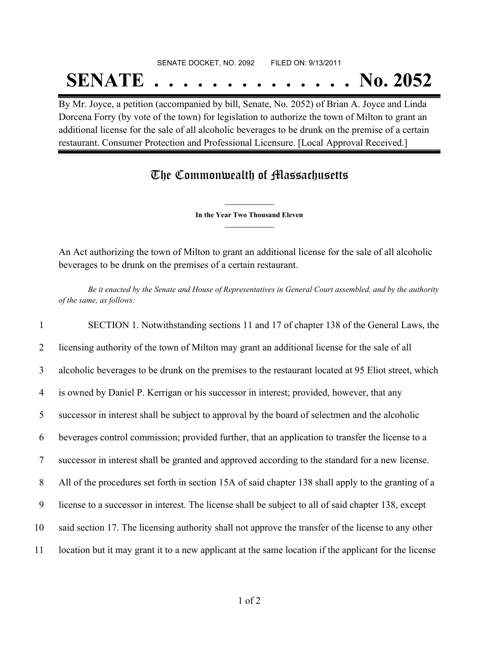## SENATE DOCKET, NO. 2092 FILED ON: 9/13/2011 **SENATE . . . . . . . . . . . . . . No. 2052**

By Mr. Joyce, a petition (accompanied by bill, Senate, No. 2052) of Brian A. Joyce and Linda Dorcena Forry (by vote of the town) for legislation to authorize the town of Milton to grant an additional license for the sale of all alcoholic beverages to be drunk on the premise of a certain restaurant. Consumer Protection and Professional Licensure. [Local Approval Received.]

## The Commonwealth of Massachusetts

**\_\_\_\_\_\_\_\_\_\_\_\_\_\_\_ In the Year Two Thousand Eleven \_\_\_\_\_\_\_\_\_\_\_\_\_\_\_**

An Act authorizing the town of Milton to grant an additional license for the sale of all alcoholic beverages to be drunk on the premises of a certain restaurant.

Be it enacted by the Senate and House of Representatives in General Court assembled, and by the authority *of the same, as follows:*

 SECTION 1. Notwithstanding sections 11 and 17 of chapter 138 of the General Laws, the licensing authority of the town of Milton may grant an additional license for the sale of all alcoholic beverages to be drunk on the premises to the restaurant located at 95 Eliot street, which is owned by Daniel P. Kerrigan or his successor in interest; provided, however, that any successor in interest shall be subject to approval by the board of selectmen and the alcoholic beverages control commission; provided further, that an application to transfer the license to a successor in interest shall be granted and approved according to the standard for a new license. All of the procedures set forth in section 15A of said chapter 138 shall apply to the granting of a license to a successor in interest. The license shall be subject to all of said chapter 138, except said section 17. The licensing authority shall not approve the transfer of the license to any other location but it may grant it to a new applicant at the same location if the applicant for the license